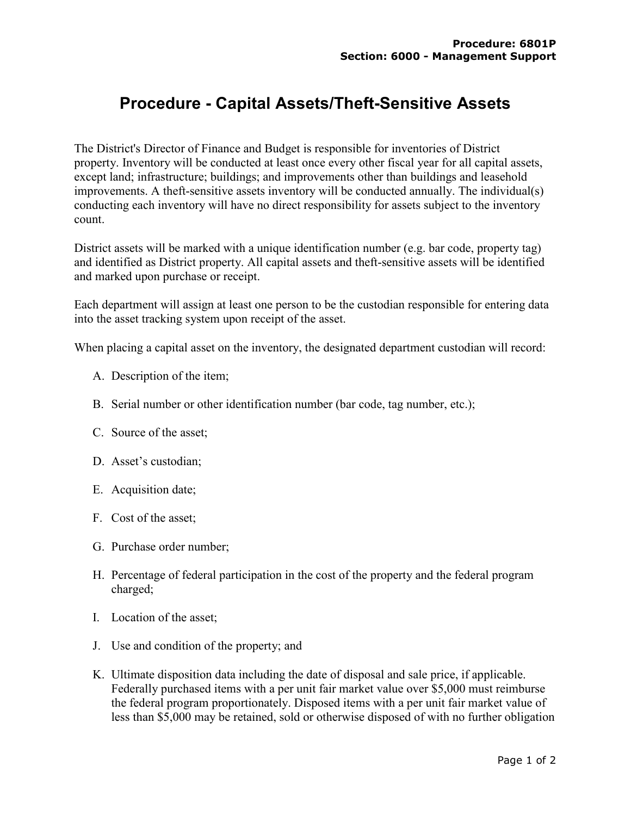## **Procedure - Capital Assets/Theft-Sensitive Assets**

The District's Director of Finance and Budget is responsible for inventories of District property. Inventory will be conducted at least once every other fiscal year for all capital assets, except land; infrastructure; buildings; and improvements other than buildings and leasehold improvements. A theft-sensitive assets inventory will be conducted annually. The individual(s) conducting each inventory will have no direct responsibility for assets subject to the inventory count.

District assets will be marked with a unique identification number (e.g. bar code, property tag) and identified as District property. All capital assets and theft-sensitive assets will be identified and marked upon purchase or receipt.

Each department will assign at least one person to be the custodian responsible for entering data into the asset tracking system upon receipt of the asset.

When placing a capital asset on the inventory, the designated department custodian will record:

- A. Description of the item;
- B. Serial number or other identification number (bar code, tag number, etc.);
- C. Source of the asset;
- D. Asset's custodian;
- E. Acquisition date;
- F. Cost of the asset;
- G. Purchase order number;
- H. Percentage of federal participation in the cost of the property and the federal program charged;
- I. Location of the asset;
- J. Use and condition of the property; and
- K. Ultimate disposition data including the date of disposal and sale price, if applicable. Federally purchased items with a per unit fair market value over \$5,000 must reimburse the federal program proportionately. Disposed items with a per unit fair market value of less than \$5,000 may be retained, sold or otherwise disposed of with no further obligation